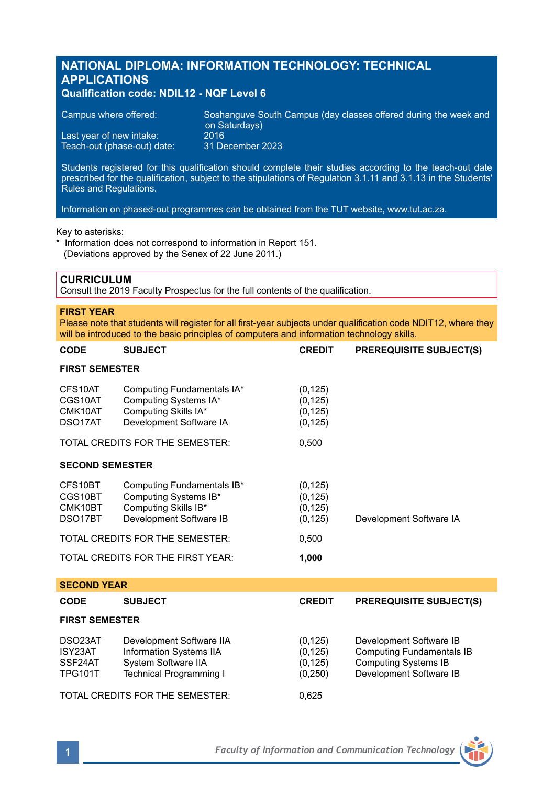# **NATIONAL DIPLOMA: INFORMATION TECHNOLOGY: TECHNICAL APPLICATIONS**

# **Qualification code: NDIL12 - NQF Level 6**

| Campus where offered:       | Soshanguve South Campus (day classes offered during the week and b<br>on Saturdays) |
|-----------------------------|-------------------------------------------------------------------------------------|
| Last year of new intake:    | 2016                                                                                |
| Teach-out (phase-out) date: | 31 December 2023                                                                    |

Students registered for this qualification should complete their studies according to the teach-out date prescribed for the qualification, subject to the stipulations of Regulation 3.1.11 and 3.1.13 in the Students' Rules and Regulations.

Information on phased-out programmes can be obtained from the TUT website, www.tut.ac.za.

### Key to asterisks:

\* Information does not correspond to information in Report 151. (Deviations approved by the Senex of 22 June 2011.)

### **CURRICULUM**

Consult the 2019 Faculty Prospectus for the full contents of the qualification.

### **FIRST YEAR**

Please note that students will register for all first-year subjects under qualification code NDIT12, where they will be introduced to the basic principles of computers and information technology skills.

| <b>CODE</b>                                           | SUBJECT                                                                                                | <b>CREDIT</b>                                | <b>PREREQUISITE SUBJECT(S)</b> |  |
|-------------------------------------------------------|--------------------------------------------------------------------------------------------------------|----------------------------------------------|--------------------------------|--|
| <b>FIRST SEMESTER</b>                                 |                                                                                                        |                                              |                                |  |
| CFS10AT<br>CGS10AT<br>CMK10AT<br>DSO <sub>17</sub> AT | Computing Fundamentals IA*<br>Computing Systems IA*<br>Computing Skills IA*<br>Development Software IA | (0, 125)<br>(0, 125)<br>(0, 125)<br>(0, 125) |                                |  |
|                                                       | TOTAL CREDITS FOR THE SEMESTER:                                                                        | 0,500                                        |                                |  |
| <b>SECOND SEMESTER</b>                                |                                                                                                        |                                              |                                |  |
| CFS10BT<br>CGS10BT<br>CMK10BT<br>DSO <sub>17</sub> BT | Computing Fundamentals IB*<br>Computing Systems IB*<br>Computing Skills IB*<br>Development Software IB | (0, 125)<br>(0, 125)<br>(0, 125)<br>(0, 125) | Development Software IA        |  |
|                                                       | TOTAL CREDITS FOR THE SEMESTER:                                                                        | 0,500                                        |                                |  |
|                                                       | TOTAL CREDITS FOR THE FIRST YEAR:                                                                      | 1,000                                        |                                |  |
|                                                       |                                                                                                        |                                              |                                |  |

| <b>SECOND YEAR</b>                              |                                                                                                       |                                             |                                                                                                                       |  |
|-------------------------------------------------|-------------------------------------------------------------------------------------------------------|---------------------------------------------|-----------------------------------------------------------------------------------------------------------------------|--|
| <b>CODE</b>                                     | <b>SUBJECT</b>                                                                                        | <b>CREDIT</b>                               | <b>PREREQUISITE SUBJECT(S)</b>                                                                                        |  |
| <b>FIRST SEMESTER</b>                           |                                                                                                       |                                             |                                                                                                                       |  |
| DSO23AT<br>ISY23AT<br>SSF24AT<br><b>TPG101T</b> | Development Software IIA<br>Information Systems IIA<br>System Software IIA<br>Technical Programming I | (0, 125)<br>(0, 125)<br>(0, 125)<br>(0,250) | Development Software IB<br><b>Computing Fundamentals IB</b><br><b>Computing Systems IB</b><br>Development Software IB |  |
|                                                 | TOTAL CREDITS FOR THE SEMESTER:                                                                       | 0.625                                       |                                                                                                                       |  |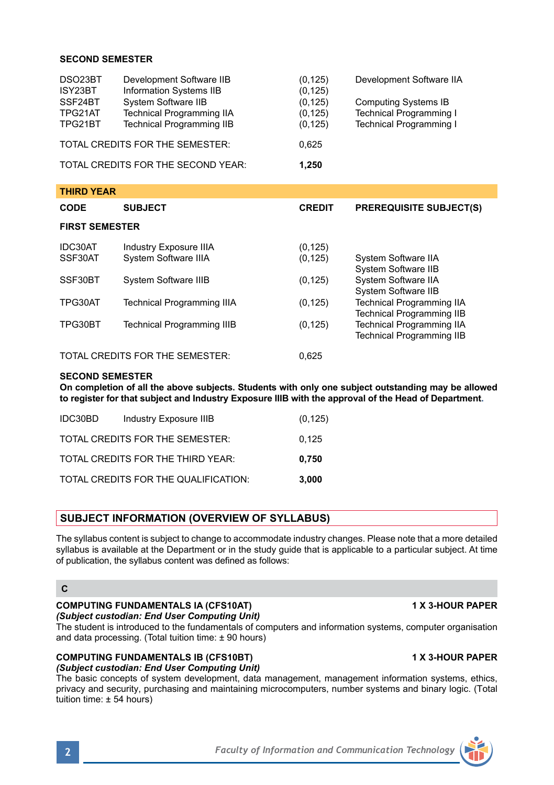## **SECOND SEMESTER**

| DSO23BT<br>ISY23BT | Development Software IIB<br>Information Systems IIB | (0, 125)<br>(0, 125) | Development Software IIA       |
|--------------------|-----------------------------------------------------|----------------------|--------------------------------|
| SSF24BT            | System Software IIB                                 | (0, 125)             | <b>Computing Systems IB</b>    |
| TPG21AT            | <b>Technical Programming IIA</b>                    | (0, 125)             | <b>Technical Programming I</b> |
| TPG21BT            | <b>Technical Programming IIB</b>                    | (0, 125)             | <b>Technical Programming I</b> |
|                    | TOTAL CREDITS FOR THE SEMESTER:                     | 0.625                |                                |
|                    | TOTAL CREDITS FOR THE SECOND YEAR:                  | 1.250                |                                |

| <b>THIRD YEAR</b>                        |                                   |               |                                                                      |  |
|------------------------------------------|-----------------------------------|---------------|----------------------------------------------------------------------|--|
| <b>CODE</b>                              | <b>SUBJECT</b>                    | <b>CREDIT</b> | <b>PREREQUISITE SUBJECT(S)</b>                                       |  |
| <b>FIRST SEMESTER</b>                    |                                   |               |                                                                      |  |
| IDC30AT                                  | Industry Exposure IIIA            | (0, 125)      |                                                                      |  |
| SSF30AT                                  | System Software IIIA              | (0, 125)      | System Software IIA<br>System Software IIB                           |  |
| SSF30BT                                  | System Software IIIB              | (0, 125)      | System Software IIA<br>System Software IIB                           |  |
| TPG30AT                                  | <b>Technical Programming IIIA</b> | (0, 125)      | <b>Technical Programming IIA</b><br><b>Technical Programming IIB</b> |  |
| TPG30BT                                  | <b>Technical Programming IIIB</b> | (0, 125)      | <b>Technical Programming IIA</b><br><b>Technical Programming IIB</b> |  |
| TOTAL CREDITS FOR THE SEMESTER:<br>0.625 |                                   |               |                                                                      |  |

### **SECOND SEMESTER**

**On completion of all the above subjects. Students with only one subject outstanding may be allowed to register for that subject and Industry Exposure IIIB with the approval of the Head of Department.**

| IDC30BD | <b>Industry Exposure IIIB</b>        | (0, 125) |
|---------|--------------------------------------|----------|
|         | TOTAL CREDITS FOR THE SEMESTER:      | 0.125    |
|         | TOTAL CREDITS FOR THE THIRD YEAR:    | 0.750    |
|         | TOTAL CREDITS FOR THE QUALIFICATION: | 3.000    |

# **SUBJECT INFORMATION (OVERVIEW OF SYLLABUS)**

The syllabus content is subject to change to accommodate industry changes. Please note that a more detailed syllabus is available at the Department or in the study guide that is applicable to a particular subject. At time of publication, the syllabus content was defined as follows:

# **C**

# **COMPUTING FUNDAMENTALS IA (CFS10AT) 1 X 3-HOUR PAPER**

*(Subject custodian: End User Computing Unit)* The student is introduced to the fundamentals of computers and information systems, computer organisation and data processing. (Total tuition time: ± 90 hours)

# **COMPUTING FUNDAMENTALS IB (CFS10BT) 1 X 3-HOUR PAPER**

*(Subject custodian: End User Computing Unit)* The basic concepts of system development, data management, management information systems, ethics, privacy and security, purchasing and maintaining microcomputers, number systems and binary logic. (Total tuition time: ± 54 hours)

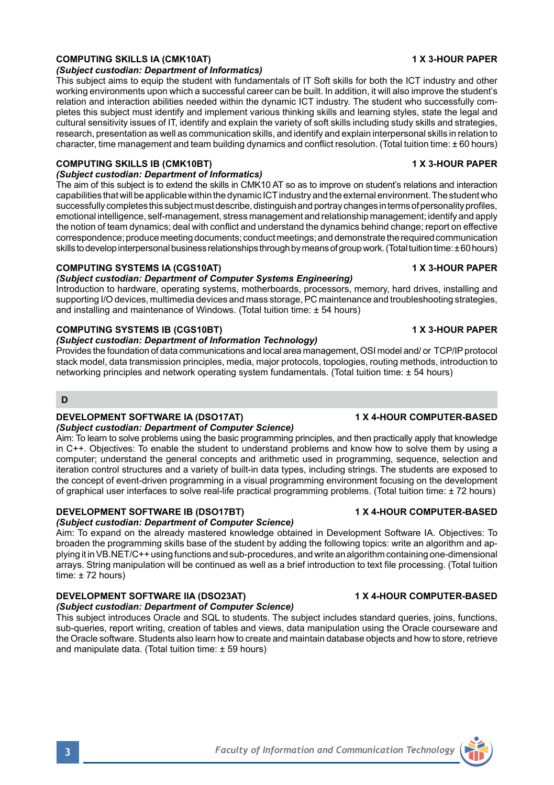### **COMPUTING SKILLS IA (CMK10AT) 1 X 3-HOUR PAPER**

### *(Subject custodian: Department of Informatics)*

This subject aims to equip the student with fundamentals of IT Soft skills for both the ICT industry and other working environments upon which a successful career can be built. In addition, it will also improve the student's relation and interaction abilities needed within the dynamic ICT industry. The student who successfully completes this subject must identify and implement various thinking skills and learning styles, state the legal and cultural sensitivity issues of IT, identify and explain the variety of soft skills including study skills and strategies, research, presentation as well as communication skills, and identify and explain interpersonal skills in relation to character, time management and team building dynamics and conflict resolution. (Total tuition time: ± 60 hours)

### **COMPUTING SKILLS IB (CMK10BT) 1 X 3-HOUR PAPER**

*(Subject custodian: Department of Informatics)*

The aim of this subject is to extend the skills in CMK10 AT so as to improve on student's relations and interaction capabilities that will be applicable within the dynamic ICT industry and the external environment. The student who successfully completes this subject must describe, distinguish and portray changes in terms of personality profiles, emotional intelligence, self-management, stress management and relationship management; identify and apply the notion of team dynamics; deal with conflict and understand the dynamics behind change; report on effective correspondence; produce meeting documents; conduct meetings; and demonstrate the required communication skills to develop interpersonal business relationships through by means of group work. (Total tuition time: ± 60 hours)

### **COMPUTING SYSTEMS IA (CGS10AT) 1 X 3-HOUR PAPER**

### *(Subject custodian: Department of Computer Systems Engineering)*

Introduction to hardware, operating systems, motherboards, processors, memory, hard drives, installing and supporting I/O devices, multimedia devices and mass storage, PC maintenance and troubleshooting strategies, and installing and maintenance of Windows. (Total tuition time: ± 54 hours)

### **COMPUTING SYSTEMS IB (CGS10BT) 1 X 3-HOUR PAPER**

### *(Subject custodian: Department of Information Technology)*

Provides the foundation of data communications and local area management, OSI model and/ or TCP/IP protocol stack model, data transmission principles, media, major protocols, topologies, routing methods, introduction to networking principles and network operating system fundamentals. (Total tuition time: ± 54 hours)

# **D**

# **DEVELOPMENT SOFTWARE IA (DSO17AT) 1 X 4-HOUR COMPUTER-BASED**

## *(Subject custodian: Department of Computer Science)*

Aim: To learn to solve problems using the basic programming principles, and then practically apply that knowledge in C++. Objectives: To enable the student to understand problems and know how to solve them by using a computer; understand the general concepts and arithmetic used in programming, sequence, selection and iteration control structures and a variety of built-in data types, including strings. The students are exposed to the concept of event-driven programming in a visual programming environment focusing on the development of graphical user interfaces to solve real-life practical programming problems. (Total tuition time: ± 72 hours)

## **DEVELOPMENT SOFTWARE IB (DSO17BT) 1 X 4-HOUR COMPUTER-BASED**

# *(Subject custodian: Department of Computer Science)*

Aim: To expand on the already mastered knowledge obtained in Development Software IA. Objectives: To broaden the programming skills base of the student by adding the following topics: write an algorithm and applying it in VB.NET/C++ using functions and sub-procedures, and write an algorithm containing one-dimensional arrays. String manipulation will be continued as well as a brief introduction to text file processing. (Total tuition time: ± 72 hours)

### **DEVELOPMENT SOFTWARE IIA (DSO23AT) 1 X 4-HOUR COMPUTER-BASED** *(Subject custodian: Department of Computer Science)*

This subject introduces Oracle and SQL to students. The subject includes standard queries, joins, functions, sub-queries, report writing, creation of tables and views, data manipulation using the Oracle courseware and the Oracle software. Students also learn how to create and maintain database objects and how to store, retrieve and manipulate data. (Total tuition time: ± 59 hours)

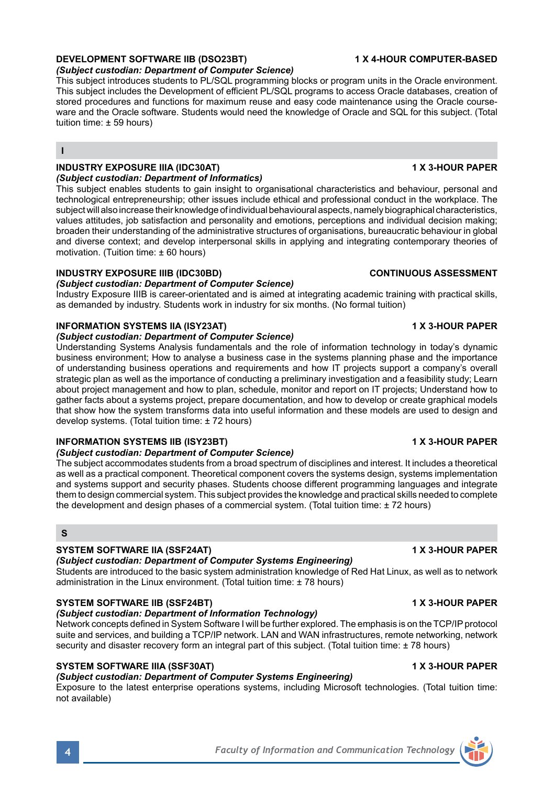# **DEVELOPMENT SOFTWARE IIB (DSO23BT) 1 X 4-HOUR COMPUTER-BASED**

*(Subject custodian: Department of Computer Science)*

This subject introduces students to PL/SQL programming blocks or program units in the Oracle environment. This subject includes the Development of efficient PL/SQL programs to access Oracle databases, creation of stored procedures and functions for maximum reuse and easy code maintenance using the Oracle courseware and the Oracle software. Students would need the knowledge of Oracle and SQL for this subject. (Total tuition time: ± 59 hours)

**I**

### **INDUSTRY EXPOSURE IIIA (IDC30AT) 1 X 3-HOUR PAPER**  *(Subject custodian: Department of Informatics)*

This subject enables students to gain insight to organisational characteristics and behaviour, personal and technological entrepreneurship; other issues include ethical and professional conduct in the workplace. The subject will also increase their knowledge of individual behavioural aspects, namely biographical characteristics, values attitudes, job satisfaction and personality and emotions, perceptions and individual decision making; broaden their understanding of the administrative structures of organisations, bureaucratic behaviour in global and diverse context; and develop interpersonal skills in applying and integrating contemporary theories of motivation. (Tuition time: ± 60 hours)

# **INDUSTRY EXPOSURE IIIB (IDC30BD) CONTINUOUS ASSESSMENT**

### *(Subject custodian: Department of Computer Science)*

Industry Exposure IIIB is career-orientated and is aimed at integrating academic training with practical skills, as demanded by industry. Students work in industry for six months. (No formal tuition)

### **INFORMATION SYSTEMS IIA (ISY23AT) 1 X 3-HOUR PAPER**

### *(Subject custodian: Department of Computer Science)*

Understanding Systems Analysis fundamentals and the role of information technology in today's dynamic business environment; How to analyse a business case in the systems planning phase and the importance of understanding business operations and requirements and how IT projects support a company's overall strategic plan as well as the importance of conducting a preliminary investigation and a feasibility study; Learn about project management and how to plan, schedule, monitor and report on IT projects; Understand how to gather facts about a systems project, prepare documentation, and how to develop or create graphical models that show how the system transforms data into useful information and these models are used to design and develop systems. (Total tuition time: ± 72 hours)

## **INFORMATION SYSTEMS IIB (ISY23BT) 1 X 3-HOUR PAPER**

### *(Subject custodian: Department of Computer Science)*

The subject accommodates students from a broad spectrum of disciplines and interest. It includes a theoretical as well as a practical component. Theoretical component covers the systems design, systems implementation and systems support and security phases. Students choose different programming languages and integrate them to design commercial system. This subject provides the knowledge and practical skills needed to complete the development and design phases of a commercial system. (Total tuition time: ± 72 hours)

### **S**

# **SYSTEM SOFTWARE IIA (SSF24AT) 1 X 3-HOUR PAPER**

# *(Subject custodian: Department of Computer Systems Engineering)*

Students are introduced to the basic system administration knowledge of Red Hat Linux, as well as to network administration in the Linux environment. (Total tuition time: ± 78 hours)

# **SYSTEM SOFTWARE IIB (SSF24BT) 1 X 3-HOUR PAPER**

# *(Subject custodian: Department of Information Technology)*

Network concepts defined in System Software I will be further explored. The emphasis is on the TCP/IP protocol suite and services, and building a TCP/IP network. LAN and WAN infrastructures, remote networking, network security and disaster recovery form an integral part of this subject. (Total tuition time: ± 78 hours)

# **SYSTEM SOFTWARE IIIA (SSF30AT) 1 X 3-HOUR PAPER**

# *(Subject custodian: Department of Computer Systems Engineering)*

Exposure to the latest enterprise operations systems, including Microsoft technologies. (Total tuition time: not available)